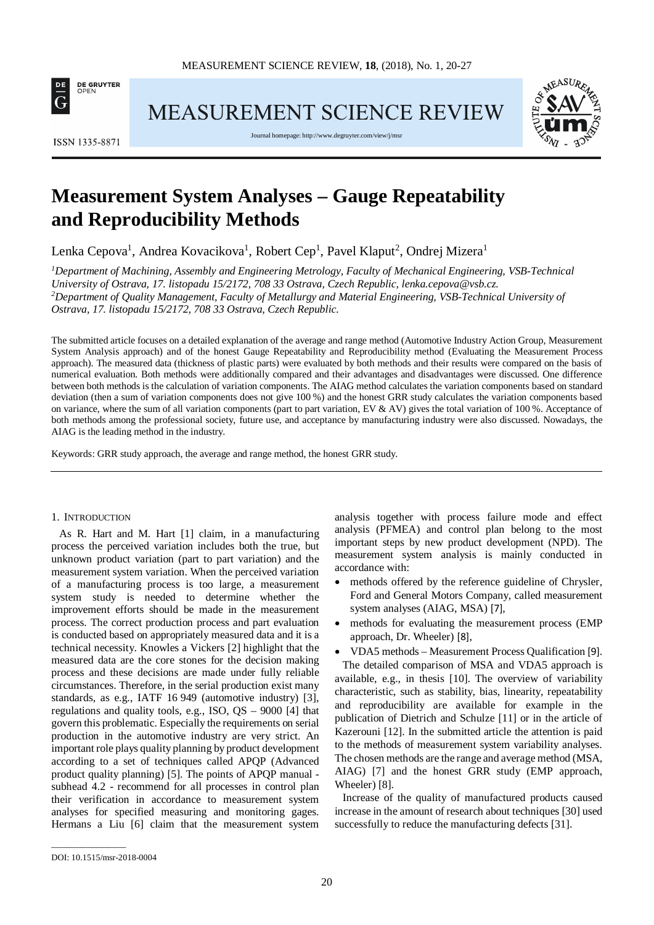

**MEASUREMENT SCIENCE REVIEW** 



Journal homepage[: http://www.degruyter.com/view/j/msr](http://www.degruyter.com/view/j/msr)



# **Measurement System Analyses – Gauge Repeatability and Reproducibility Methods**

Lenka Cepova<sup>1</sup>, Andrea Kovacikova<sup>1</sup>, Robert Cep<sup>1</sup>, Pavel Klaput<sup>2</sup>, Ondrej Mizera<sup>1</sup>

<sup>1</sup>Department of Machining, Assembly and Engineering Metrology, Faculty of Mechanical Engineering, VSB-Technical *University of Ostrava, 17. listopadu 15/2172, 708 33 Ostrava, Czech Republic[, lenka.cepova@vsb.cz.](mailto:lenka.cepova@vsb.cz) 2 Department of Quality Management, Faculty of Metallurgy and Material Engineering, VSB-Technical University of Ostrava, 17. listopadu 15/2172, 708 33 Ostrava, Czech Republic.*

The submitted article focuses on a detailed explanation of the average and range method (Automotive Industry Action Group, Measurement System Analysis approach) and of the honest Gauge Repeatability and Reproducibility method [\(Evaluating the Measurement Process](http://objectiveexperiments.com/training/emp.html) approach). The measured data (thickness of plastic parts) were evaluated by both methods and their results were compared on the basis of numerical evaluation. Both methods were additionally compared and their advantages and disadvantages were discussed. One difference between both methods is the calculation of variation components. The AIAG method calculates the variation components based on standard deviation (then a sum of variation components does not give 100 %) and the honest GRR study calculates the variation components based on variance, where the sum of all variation components (part to part variation, EV & AV) gives the total variation of 100 %. Acceptance of both methods among the professional society, future use, and acceptance by manufacturing industry were also discussed. Nowadays, the AIAG is the leading method in the industry.

Keywords: GRR study approach, the average and range method, the honest GRR study.

#### 1. INTRODUCTION

As R. Hart and M. Hart [1] claim, in a manufacturing process the perceived variation includes both the true, but unknown product variation (part to part variation) and the measurement system variation. When the perceived variation of a manufacturing process is too large, a measurement system study is needed to determine whether the improvement efforts should be made in the measurement process. The correct production process and part evaluation is conducted based on appropriately measured data and it is a technical necessity. Knowles a Vickers [2] highlight that the measured data are the core stones for the decision making process and these decisions are made under fully reliable circumstances. Therefore, in the serial production exist many standards, as e.g., IATF 16 949 (automotive industry) [3], regulations and quality tools, e.g., ISO, QS – 9000 [4] that govern this problematic. Especially the requirements on serial production in the automotive industry are very strict. An important role plays quality planning by product development according to a set of techniques called APQP (Advanced product quality planning) [5]. The points of APQP manual subhead 4.2 - recommend for all processes in control plan their verification in accordance to measurement system analyses for specified measuring and monitoring gages. Hermans a Liu [6] claim that the measurement system

analysis together with process failure mode and effect analysis (PFMEA) and control plan belong to the most important steps by new product development (NPD). The measurement system analysis is mainly conducted in accordance with:

- methods offered by the reference guideline of Chrysler, Ford and General Motors Company, called measurement system analyses (AIAG, MSA) [7],
- methods for evaluating the measurement process (EMP) approach, Dr. Wheeler) [8],
- VDA5 methods Measurement Process Qualification [9].

The detailed comparison of MSA and VDA5 approach is available, e.g., in thesis [10]. The overview of variability characteristic, such as stability, bias, linearity, repeatability and reproducibility are available for example in the publication of Dietrich and Schulze [11] or in the article of Kazerouni [12]. In the submitted article the attention is paid to the methods of measurement system variability analyses. The chosen methods are the range and average method (MSA, AIAG) [7] and the honest GRR study (EMP approach, Wheeler) [8].

Increase of the quality of manufactured products caused increase in the amount of research about techniques [30] used successfully to reduce the manufacturing defects [31].

\_\_\_\_\_\_\_\_\_\_\_\_\_\_\_\_\_

DOI: 10.1515/msr-2018-0004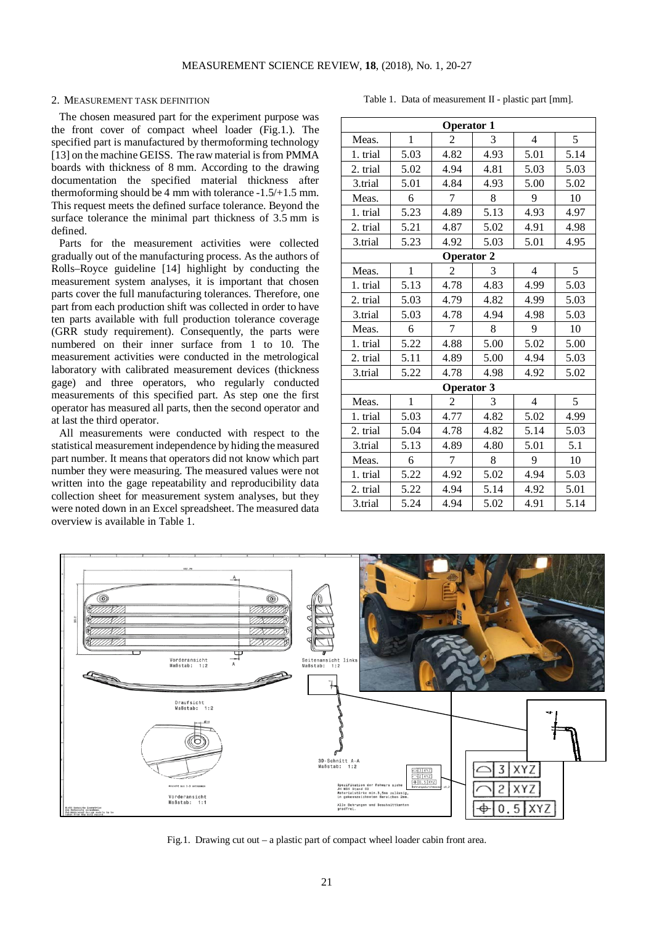## 2. MEASUREMENT TASK DEFINITION

The chosen measured part for the experiment purpose was the front cover of compact wheel loader (Fig.1.). The specified part is manufactured by thermoforming technology [13] on the machine GEISS. The raw material is from PMMA boards with thickness of 8 mm. According to the drawing documentation the specified material thickness after thermoforming should be 4 mm with tolerance -1.5/+1.5 mm. This request meets the defined surface tolerance. Beyond the surface tolerance the minimal part thickness of 3.5 mm is defined.

Parts for the measurement activities were collected gradually out of the manufacturing process. As the authors of Rolls–Royce guideline [14] highlight by conducting the measurement system analyses, it is important that chosen parts cover the full manufacturing tolerances. Therefore, one part from each production shift was collected in order to have ten parts available with full production tolerance coverage (GRR study requirement). Consequently, the parts were numbered on their inner surface from 1 to 10. The measurement activities were conducted in the metrological laboratory with calibrated measurement devices (thickness gage) and three operators, who regularly conducted measurements of this specified part. As step one the first operator has measured all parts, then the second operator and at last the third operator.

All measurements were conducted with respect to the statistical measurement independence by hiding the measured part number. It means that operators did not know which part number they were measuring. The measured values were not written into the gage repeatability and reproducibility data collection sheet for measurement system analyses, but they were noted down in an Excel spreadsheet. The measured data overview is available in Table 1.

**Operator 1** Meas. 1 2 3 4 5 1. trial 5.03 4.82 4.93 5.01 5.14 2. trial 5.02 4.94 4.81 5.03 5.03 3.trial 5.01 4.84 4.93 5.00 5.02 Meas. 6 7 8 9 10 1. trial 5.23 4.89 5.13 4.93 4.97 2. trial 5.21 4.87 5.02 4.91 4.98 3.trial | 5.23 | 4.92 | 5.03 | 5.01 | 4.95 **Operator 2** Meas. 1 2 3 4 5 1. trial | 5.13 | 4.78 | 4.83 | 4.99 | 5.03 2. trial 5.03 4.79 4.82 4.99 5.03 3.trial | 5.03 | 4.78 | 4.94 | 4.98 | 5.03 Meas. 6 7 8 9 10 1. trial 5.22 4.88 5.00 5.02 5.00 2. trial | 5.11 | 4.89 | 5.00 | 4.94 | 5.03 3.trial | 5.22 | 4.78 | 4.98 | 4.92 | 5.02 **Operator 3** Meas. 1 2 3 4 5 1. trial | 5.03 | 4.77 | 4.82 | 5.02 | 4.99 2. trial 5.04 4.78 4.82 5.14 5.03 3.trial | 5.13 | 4.89 | 4.80 | 5.01 | 5.1 Meas. 6 7 8 9 10 1. trial 5.22 4.92 5.02 4.94 5.03 2. trial 5.22 4.94 5.14 4.92 5.01 3.trial | 5.24 | 4.94 | 5.02 | 4.91 | 5.14



Fig.1. Drawing cut out – a plastic part of compact wheel loader cabin front area.

Table 1. Data of measurement II - plastic part [mm].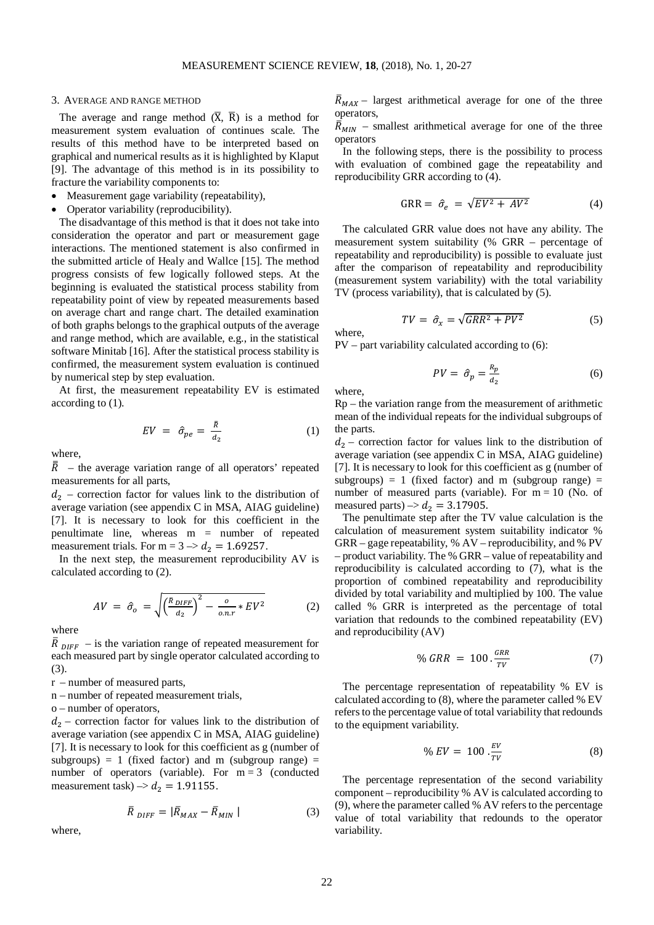#### 3. AVERAGE AND RANGE METHOD

The average and range method  $(\overline{X}, \overline{R})$  is a method for measurement system evaluation of continues scale. The results of this method have to be interpreted based on graphical and numerical results as it is highlighted by Klaput [9]. The advantage of this method is in its possibility to fracture the variability components to:

- Measurement gage variability (repeatability),
- Operator variability (reproducibility).

The disadvantage of this method is that it does not take into consideration the operator and part or measurement gage interactions. The mentioned statement is also confirmed in the submitted article of Healy and Wallce [15]. The method progress consists of few logically followed steps. At the beginning is evaluated the statistical process stability from repeatability point of view by repeated measurements based on average chart and range chart. The detailed examination of both graphs belongs to the graphical outputs of the average and range method, which are available, e.g., in the statistical software Minitab [16]. After the statistical process stability is confirmed, the measurement system evaluation is continued by numerical step by step evaluation.

At first, the measurement repeatability EV is estimated according to (1).

$$
EV = \hat{\sigma}_{pe} = \frac{\bar{R}}{d_2} \tag{1}
$$

where,

 $\overline{R}$  – the average variation range of all operators' repeated measurements for all parts,

 $d_2$  – correction factor for values link to the distribution of average variation (see appendix C in MSA, AIAG guideline) [7]. It is necessary to look for this coefficient in the penultimate line, whereas m = number of repeated measurement trials. For m =  $3 \rightarrow d_2 = 1.69257$ .

In the next step, the measurement reproducibility AV is calculated according to (2).

$$
AV = \hat{\sigma}_o = \sqrt{\left(\frac{\bar{R}_{DIFF}}{d_2}\right)^2 - \frac{o}{o_{.}r} * EV^2}
$$
 (2)

where

 $\overline{R}_{DIFF}$  – is the variation range of repeated measurement for each measured part by single operator calculated according to (3).

- r number of measured parts,
- n number of repeated measurement trials,
- o number of operators,

 $d_2$  – correction factor for values link to the distribution of average variation (see appendix C in MSA, AIAG guideline) [7]. It is necessary to look for this coefficient as g (number of subgroups) = 1 (fixed factor) and m (subgroup range) = number of operators (variable). For  $m = 3$  (conducted measurement task)  $\rightarrow d_2 = 1.91155$ .

$$
\overline{R}_{DIFF} = |\overline{R}_{MAX} - \overline{R}_{MIN}| \qquad (3)
$$

where,

 $\bar{R}_{MAX}$  – largest arithmetical average for one of the three operators,

 $\bar{R}_{MIN}$  – smallest arithmetical average for one of the three operators

In the following steps, there is the possibility to process with evaluation of combined gage the repeatability and reproducibility GRR according to (4).

$$
GRR = \hat{\sigma}_e = \sqrt{EV^2 + AV^2} \tag{4}
$$

The calculated GRR value does not have any ability. The measurement system suitability (% GRR – percentage of repeatability and reproducibility) is possible to evaluate just after the comparison of repeatability and reproducibility (measurement system variability) with the total variability TV (process variability), that is calculated by (5).

$$
TV = \hat{\sigma}_x = \sqrt{GRR^2 + PV^2} \tag{5}
$$

where,

PV – part variability calculated according to (6):

$$
PV = \hat{\sigma}_p = \frac{R_p}{d_2} \tag{6}
$$

where,

 $Rp$  – the variation range from the measurement of arithmetic mean of the individual repeats for the individual subgroups of the parts.

 $d_2$  – correction factor for values link to the distribution of average variation (see appendix C in MSA, AIAG guideline) [7]. It is necessary to look for this coefficient as g (number of subgroups) = 1 (fixed factor) and m (subgroup range) = number of measured parts (variable). For  $m = 10$  (No. of measured parts)  $\rightarrow d_2 = 3.17905$ .

The penultimate step after the TV value calculation is the calculation of measurement system suitability indicator % GRR – gage repeatability, % AV – reproducibility, and % PV – product variability. The % GRR – value of repeatability and reproducibility is calculated according to (7), what is the proportion of combined repeatability and reproducibility divided by total variability and multiplied by 100. The value called % GRR is interpreted as the percentage of total variation that redounds to the combined repeatability (EV) and reproducibility (AV)

$$
\% \, GRR = 100 \cdot \frac{GRR}{TV} \tag{7}
$$

The percentage representation of repeatability % EV is calculated according to (8), where the parameter called % EV refers to the percentage value of total variability that redounds to the equipment variability.

$$
\% \, EV = \, 100 \cdot \frac{EV}{TV} \tag{8}
$$

The percentage representation of the second variability component – reproducibility % AV is calculated according to (9), where the parameter called % AV refers to the percentage value of total variability that redounds to the operator variability.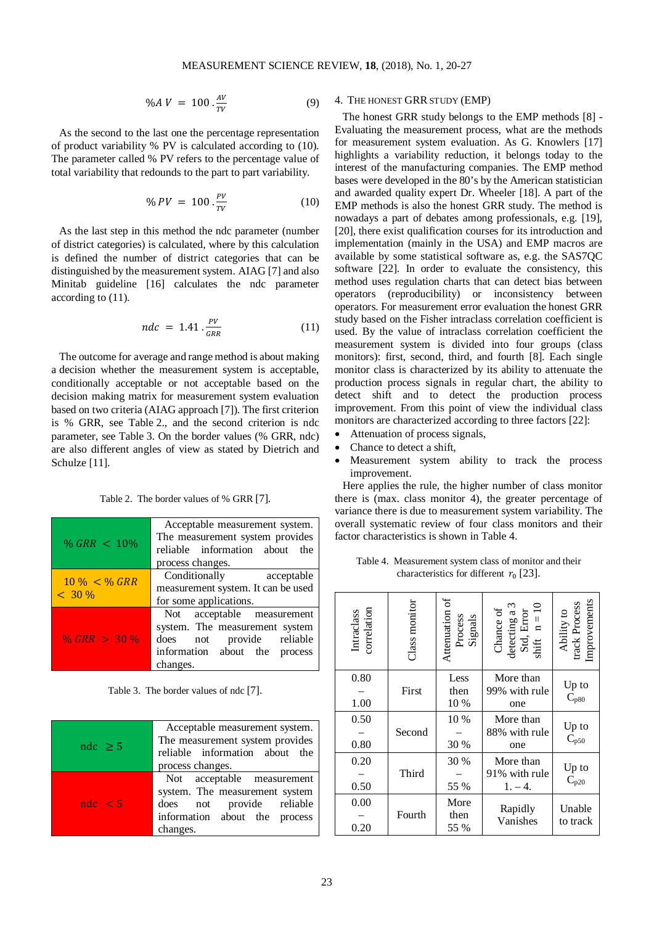$$
\%AV = 100 \frac{AV}{TV} \tag{9}
$$

As the second to the last one the percentage representation of product variability % PV is calculated according to (10). The parameter called % PV refers to the percentage value of total variability that redounds to the part to part variability.

$$
\% \, PV \, = \, 100 \, . \frac{PV}{TV} \tag{10}
$$

As the last step in this method the ndc parameter (number of district categories) is calculated, where by this calculation is defined the number of district categories that can be distinguished by the measurement system. AIAG [7] and also Minitab guideline [16] calculates the ndc parameter according to (11).

$$
ndc = 1.41 \cdot \frac{PV}{GRR} \tag{11}
$$

The outcome for average and range method is about making a decision whether the measurement system is acceptable, conditionally acceptable or not acceptable based on the decision making matrix for measurement system evaluation based on two criteria (AIAG approach [7]). The first criterion is % GRR, see Table 2., and the second criterion is ndc parameter, see Table 3. On the border values (% GRR, ndc) are also different angles of view as stated by Dietrich and Schulze [11].

Table 2. The border values of % GRR [7].

|                              | Acceptable measurement system.     |  |
|------------------------------|------------------------------------|--|
| % GRR $< 10\%$               | The measurement system provides    |  |
|                              | reliable information about the     |  |
|                              | process changes.                   |  |
| $10\% < \%$ GRR<br>$< 30 \%$ | Conditionally acceptable           |  |
|                              | measurement system. It can be used |  |
|                              | for some applications.             |  |
| % GRR $>$ 30 %               | Not acceptable measurement         |  |
|                              | system. The measurement system     |  |
|                              | does not provide reliable          |  |
|                              | information about the process      |  |
|                              | changes.                           |  |

Table 3. The border values of ndc [7].

| ndc $\geq$ 5 | Acceptable measurement system.<br>The measurement system provides<br>reliable information about the<br>process changes.                |
|--------------|----------------------------------------------------------------------------------------------------------------------------------------|
| ndc < 5      | Not acceptable measurement<br>system. The measurement system<br>does not provide reliable<br>information about the process<br>changes. |

### 4. THE HONEST GRR STUDY (EMP)

The honest GRR study belongs to the EMP methods [8] - Evaluating the measurement process, what are the methods for measurement system evaluation. As G. Knowlers [17] highlights a variability reduction, it belongs today to the interest of the manufacturing companies. The EMP method bases were developed in the 80's by the American statistician and awarded quality expert Dr. Wheeler [18]. A part of the EMP methods is also the honest GRR study. The method is nowadays a part of debates among professionals, e.g. [19], [20], there exist qualification courses for its introduction and implementation (mainly in the USA) and EMP macros are available by some statistical software as, e.g. the SAS7QC software [22]. In order to evaluate the consistency, this method uses regulation charts that can detect bias between operators (reproducibility) or inconsistency between operators. For measurement error evaluation the honest GRR study based on the Fisher intraclass correlation coefficient is used. By the value of intraclass correlation coefficient the measurement system is divided into four groups (class monitors): first, second, third, and fourth [8]. Each single monitor class is characterized by its ability to attenuate the production process signals in regular chart, the ability to detect shift and to detect the production process improvement. From this point of view the individual class monitors are characterized according to three factors [22]:

- Attenuation of process signals,
- Chance to detect a shift.
- Measurement system ability to track the process improvement.

Here applies the rule, the higher number of class monitor there is (max. class monitor 4), the greater percentage of variance there is due to measurement system variability. The overall systematic review of four class monitors and their factor characteristics is shown in Table 4.

| Table 4. Measurement system class of monitor and their |
|--------------------------------------------------------|
| characteristics for different $r_0$ [23].              |

| correlation<br>Intraclass | Class monitor | ð<br>Attenuation<br>Process<br>Signals | Chance of<br>detecting a 3<br>Std, Error<br>shift $n = 10$ | Ability to<br>track Process<br>Improvements |
|---------------------------|---------------|----------------------------------------|------------------------------------------------------------|---------------------------------------------|
| 0.80<br>1.00              | First         | Less<br>then<br>10 %                   | More than<br>99% with rule<br>one                          | Up to<br>$C_{p80}$                          |
| 0.50<br>0.80              | Second        | 10 %<br>30 %                           | More than<br>88% with rule<br>one                          | Up to<br>$C_{p50}$                          |
| 0.20<br>0.50              | Third         | 30 %<br>55 %                           | More than<br>91% with rule<br>$1. - 4.$                    | Up to<br>$C_{p20}$                          |
| 0.00<br>0.20              | Fourth        | More<br>then<br>55 %                   | Rapidly<br>Vanishes                                        | Unable<br>to track                          |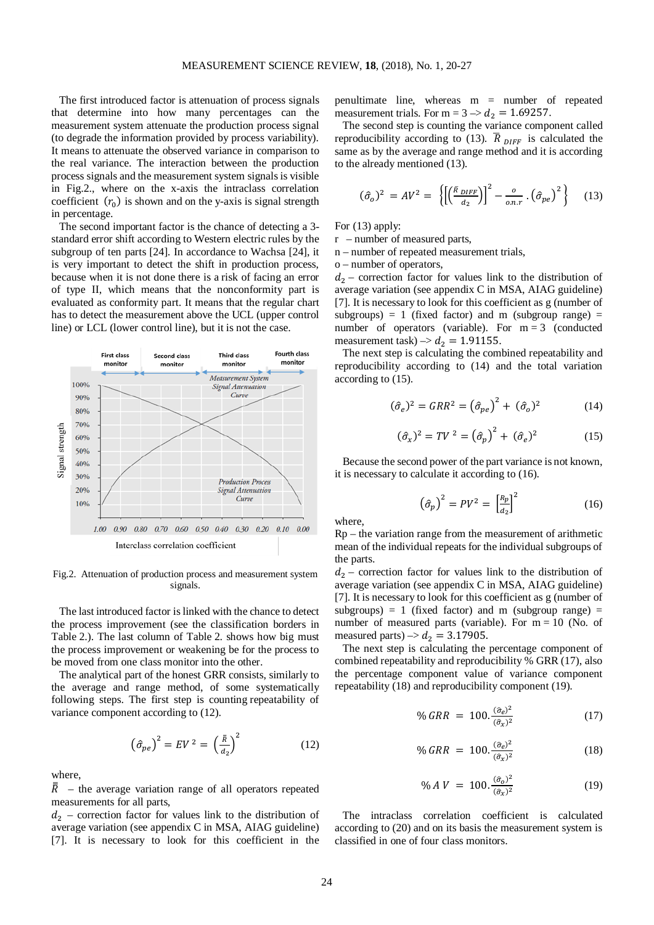The first introduced factor is attenuation of process signals that determine into how many percentages can the measurement system attenuate the production process signal (to degrade the information provided by process variability). It means to attenuate the observed variance in comparison to the real variance. The interaction between the production process signals and the measurement system signals is visible in Fig.2., where on the x-axis the intraclass correlation coefficient  $(r_0)$  is shown and on the y-axis is signal strength in percentage.

The second important factor is the chance of detecting a 3 standard error shift according to Western electric rules by the subgroup of ten parts [24]. In accordance to Wachsa [24], it is very important to detect the shift in production process, because when it is not done there is a risk of facing an error of type II, which means that the nonconformity part is evaluated as conformity part. It means that the regular chart has to detect the measurement above the UCL (upper control line) or LCL (lower control line), but it is not the case.



Fig.2. Attenuation of production process and measurement system signals.

The last introduced factor is linked with the chance to detect the process improvement (see the classification borders in Table 2.). The last column of Table 2. shows how big must the process improvement or weakening be for the process to be moved from one class monitor into the other.

The analytical part of the honest GRR consists, similarly to the average and range method, of some systematically following steps. The first step is counting repeatability of variance component according to (12).

$$
\left(\hat{\sigma}_{pe}\right)^2 = EV^2 = \left(\frac{\bar{R}}{d_2}\right)^2\tag{12}
$$

where,

 $\overline{R}$  – the average variation range of all operators repeated measurements for all parts,

 $d_2$  – correction factor for values link to the distribution of average variation (see appendix C in MSA, AIAG guideline) [7]. It is necessary to look for this coefficient in the

penultimate line, whereas m = number of repeated measurement trials. For  $m = 3 \rightarrow d_2 = 1.69257$ .

The second step is counting the variance component called reproducibility according to (13).  $\overline{R}_{DIFF}$  is calculated the same as by the average and range method and it is according to the already mentioned (13).

$$
(\hat{\sigma}_o)^2 = AV^2 = \left\{ \left[ \left( \frac{\bar{R}_{DIFF}}{d_2} \right) \right]^2 - \frac{o}{o.n.r} \cdot \left( \hat{\sigma}_{pe} \right)^2 \right\} \tag{13}
$$

For (13) apply:

r – number of measured parts,

n – number of repeated measurement trials,

o – number of operators,

 $d_2$  – correction factor for values link to the distribution of average variation (see appendix C in MSA, AIAG guideline) [7]. It is necessary to look for this coefficient as g (number of subgroups) = 1 (fixed factor) and m (subgroup range) = number of operators (variable). For  $m = 3$  (conducted measurement task)  $\rightarrow$   $d_2$  = 1.91155.

The next step is calculating the combined repeatability and reproducibility according to (14) and the total variation according to (15).

$$
(\hat{\sigma}_e)^2 = GRR^2 = (\hat{\sigma}_{pe})^2 + (\hat{\sigma}_o)^2 \tag{14}
$$

$$
(\hat{\sigma}_x)^2 = TV^2 = (\hat{\sigma}_p)^2 + (\hat{\sigma}_e)^2 \tag{15}
$$

Because the second power of the part variance is not known, it is necessary to calculate it according to (16).

$$
\left(\hat{\sigma}_p\right)^2 = PV^2 = \left[\frac{R_p}{d_2}\right]^2\tag{16}
$$

where,

Rp – the variation range from the measurement of arithmetic mean of the individual repeats for the individual subgroups of the parts.

 $d_2$  – correction factor for values link to the distribution of average variation (see appendix C in MSA, AIAG guideline) [7]. It is necessary to look for this coefficient as g (number of subgroups) = 1 (fixed factor) and m (subgroup range) = number of measured parts (variable). For  $m = 10$  (No. of measured parts)  $\rightarrow d_2 = 3.17905$ .

The next step is calculating the percentage component of combined repeatability and reproducibility % GRR (17), also the percentage component value of variance component repeatability (18) and reproducibility component (19).

$$
\% \, GRR = 100. \frac{(\hat{\sigma}_e)^2}{(\hat{\sigma}_x)^2} \tag{17}
$$

$$
\% \, GRR \ = \ 100. \frac{(\hat{\sigma}_e)^2}{(\hat{\sigma}_x)^2} \tag{18}
$$

$$
\% \, A \, V \ = \ 100. \frac{(\hat{\sigma}_0)^2}{(\hat{\sigma}_x)^2} \tag{19}
$$

The intraclass correlation coefficient is calculated according to (20) and on its basis the measurement system is classified in one of four class monitors.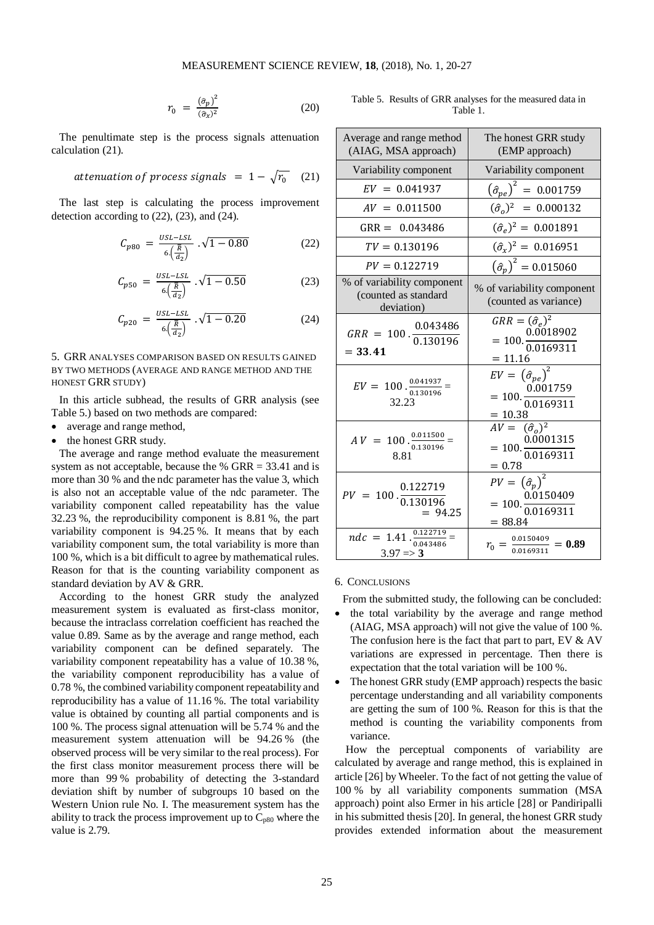$$
r_0 = \frac{(\hat{\sigma}_p)^2}{(\hat{\sigma}_x)^2} \tag{20}
$$

The penultimate step is the process signals attenuation calculation (21).

$$
attention of process signals = 1 - \sqrt{r_0} \quad (21)
$$

The last step is calculating the process improvement detection according to (22), (23), and (24).

$$
C_{p80} = \frac{USL - LSL}{6\left(\frac{\overline{R}}{d_2}\right)} \cdot \sqrt{1 - 0.80} \tag{22}
$$

$$
C_{p50} = \frac{v_{SL-LSL}}{6\left(\frac{\overline{R}}{d_2}\right)} \cdot \sqrt{1 - 0.50} \tag{23}
$$

$$
C_{p20} = \frac{USL - LSL}{6\left(\frac{\overline{R}}{d_2}\right)} \cdot \sqrt{1 - 0.20} \tag{24}
$$

5. GRR ANALYSES COMPARISON BASED ON RESULTS GAINED BY TWO METHODS (AVERAGE AND RANGE METHOD AND THE HONEST GRR STUDY)

In this article subhead, the results of GRR analysis (see Table 5.) based on two methods are compared:

- average and range method,
- the honest GRR study.

The average and range method evaluate the measurement system as not acceptable, because the % GRR = 33.41 and is more than 30 % and the ndc parameter has the value 3, which is also not an acceptable value of the ndc parameter. The variability component called repeatability has the value 32.23 %, the reproducibility component is 8.81 %, the part variability component is 94.25 %. It means that by each variability component sum, the total variability is more than 100 %, which is a bit difficult to agree by mathematical rules. Reason for that is the counting variability component as standard deviation by AV & GRR.

According to the honest GRR study the analyzed measurement system is evaluated as first-class monitor, because the intraclass correlation coefficient has reached the value 0.89. Same as by the average and range method, each variability component can be defined separately. The variability component repeatability has a value of 10.38 %, the variability component reproducibility has a value of 0.78 %, the combined variability component repeatability and reproducibility has a value of 11.16 %. The total variability value is obtained by counting all partial components and is 100 %. The process signal attenuation will be 5.74 % and the measurement system attenuation will be 94.26 % (the observed process will be very similar to the real process). For the first class monitor measurement process there will be more than 99 % probability of detecting the 3-standard deviation shift by number of subgroups 10 based on the Western Union rule No. I. The measurement system has the ability to track the process improvement up to  $C_{p80}$  where the value is 2.79.

Table 5. Results of GRR analyses for the measured data in Table 1.

| Average and range method<br>(AIAG, MSA approach)                  | The honest GRR study<br>(EMP approach)                                                                        |  |  |
|-------------------------------------------------------------------|---------------------------------------------------------------------------------------------------------------|--|--|
| Variability component                                             | Variability component                                                                                         |  |  |
| $EV = 0.041937$                                                   | $\left(\hat{\sigma}_{pe}\right)^2 = 0.001759$                                                                 |  |  |
| $AV = 0.011500$                                                   | $(\hat{\sigma}_o)^2$ = 0.000132                                                                               |  |  |
| $GRR = 0.043486$                                                  | $(\hat{\sigma}_e)^2 = 0.001891$                                                                               |  |  |
| $TV = 0.130196$                                                   | $(\hat{\sigma}_x)^2 = 0.016951$                                                                               |  |  |
| $PV = 0.122719$                                                   | $(\hat{\sigma}_p)^2 = 0.015060$                                                                               |  |  |
| % of variability component<br>(counted as standard<br>deviation)  | % of variability component<br>(counted as variance)                                                           |  |  |
| 0.043486<br>$= 33.41$                                             | $GRR = (\hat{\sigma}_e)^2$<br>$= 100.\frac{0.0018902}{0.0169311}$<br>$= 11.16$                                |  |  |
| $EV = 100 \cdot \frac{0.041937}{0.130196} =$<br>32.23             | $EV = (\hat{\sigma}_{pe})^2$<br>$= 100 \cdot \frac{0.001759}{0.0169311}$<br>$= 10.38$                         |  |  |
| $AV = 100 \cdot \frac{0.011500}{0.130196} =$<br>8.81              | $\frac{10000}{AV} = \frac{(\hat{\sigma}_o)^2}{0.0001315}$<br>= 100. $\frac{0.0001315}{0.0169311}$<br>$= 0.78$ |  |  |
| $PV = 100 \cdot \frac{0.122719}{0.130196}$<br>$= 94.25$           | $PV = (\hat{\sigma}_p)^2$<br>$= 100 \cdot \frac{0.0150409}{0.0169311}$<br>$= 88.84$                           |  |  |
| $ndc = 1.41 \cdot \frac{0.122719}{0.043486}$<br>$3.97 \implies 3$ | $r_0 = \frac{0.0150409}{0.0169311} = 0.89$                                                                    |  |  |

## 6. CONCLUSIONS

From the submitted study, the following can be concluded:

- the total variability by the average and range method (AIAG, MSA approach) will not give the value of 100 %. The confusion here is the fact that part to part, EV  $&$  AV variations are expressed in percentage. Then there is expectation that the total variation will be 100 %.
- The honest GRR study (EMP approach) respects the basic percentage understanding and all variability components are getting the sum of 100 %. Reason for this is that the method is counting the variability components from variance.

How the perceptual components of variability are calculated by average and range method, this is explained in article [26] by Wheeler. To the fact of not getting the value of 100 % by all variability components summation (MSA approach) point also Ermer in his article [28] or Pandiripalli in his submitted thesis [20]. In general, the honest GRR study provides extended information about the measurement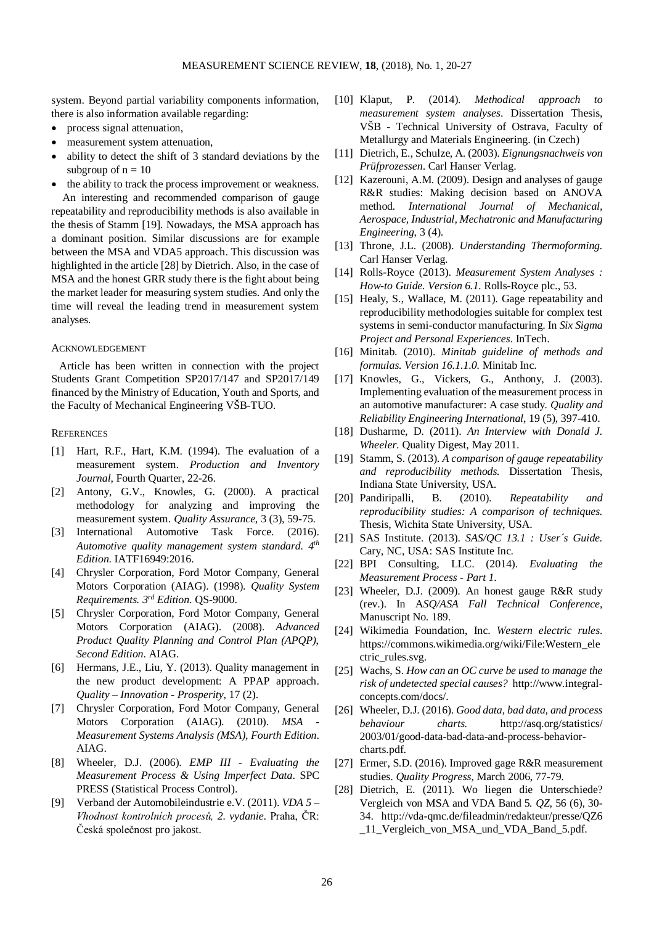system. Beyond partial variability components information, there is also information available regarding:

- process signal attenuation,
- measurement system attenuation,
- ability to detect the shift of 3 standard deviations by the subgroup of  $n = 10$
- the ability to track the process improvement or weakness.

An interesting and recommended comparison of gauge repeatability and reproducibility methods is also available in the thesis of Stamm [19]. Nowadays, the MSA approach has a dominant position. Similar discussions are for example between the MSA and VDA5 approach. This discussion was highlighted in the article [28] by Dietrich. Also, in the case of MSA and the honest GRR study there is the fight about being the market leader for measuring system studies. And only the time will reveal the leading trend in measurement system analyses.

## ACKNOWLEDGEMENT

Article has been written in connection with the project Students Grant Competition SP2017/147 and SP2017/149 financed by the Ministry of Education, Youth and Sports, and the Faculty of Mechanical Engineering VŠB-TUO.

#### **REFERENCES**

- [1] Hart, R.F., Hart, K.M. (1994). The evaluation of a measurement system. *Production and Inventory Journal*, Fourth Quarter, 22-26.
- [2] Antony, G.V., Knowles, G. (2000). A practical methodology for analyzing and improving the measurement system. *Quality Assurance*, 3 (3), 59-75.
- [3] International Automotive Task Force. (2016). *Automotive quality management system standard. 4th Edition*. IATF16949:2016.
- [4] Chrysler Corporation, Ford Motor Company, General Motors Corporation (AIAG). (1998). *Quality System Requirements. 3rd Edition*. QS-9000.
- [5] Chrysler Corporation, Ford Motor Company, General Motors Corporation (AIAG). (2008). *Advanced Product Quality Planning and Control Plan (APQP)*, *Second Edition*. AIAG.
- [6] Hermans, J.E., Liu, Y. (2013). Quality management in the new product development: A PPAP approach. *Quality – Innovation - Prosperity*, 17 (2).
- [7] Chrysler Corporation, Ford Motor Company, General Motors Corporation (AIAG). (2010). *MSA Measurement Systems Analysis (MSA), Fourth Edition*. AIAG.
- [8] Wheeler, D.J. (2006). *EMP III - Evaluating the Measurement Process & Using Imperfect Data*. SPC PRESS (Statistical Process Control).
- [9] Verband der Automobileindustrie e.V. (2011). *VDA 5 – Vhodnost kontrolních procesů, 2. vydanie*. Praha, ČR: Česká společnost pro jakost.
- [10] Klaput, P. (2014). *Methodical approach to measurement system analyses*. Dissertation Thesis, VŠB - Technical University of Ostrava, Faculty of Metallurgy and Materials Engineering. (in Czech)
- [11] Dietrich, E., Schulze, A. (2003). *Eignungsnachweis von Prüfprozessen*. Carl Hanser Verlag.
- [12] Kazerouni, A.M. (2009). Design and analyses of gauge R&R studies: Making decision based on ANOVA method*. International Journal of Mechanical, Aerospace, Industrial, Mechatronic and Manufacturing Engineering*, 3 (4).
- [13] Throne, J.L. (2008). *Understanding Thermoforming.*  Carl Hanser Verlag.
- [14] Rolls-Royce (2013). *Measurement System Analyses : How-to Guide. Version 6.1.* Rolls-Royce plc., 53.
- [15] Healy, S., Wallace, M. (2011). Gage repeatability and reproducibility methodologies suitable for complex test systems in semi-conductor manufacturing. In *Six Sigma Project and Personal Experiences*. InTech.
- [16] Minitab. (2010). *Minitab guideline of methods and formulas. Version 16.1.1.0.* Minitab Inc.
- [17] Knowles, G., Vickers, G., Anthony, J. (2003). Implementing evaluation of the measurement process in an automotive manufacturer: A case study*. Quality and Reliability Engineering International*, 19 (5), 397-410.
- [18] Dusharme, D. (2011). *An Interview with Donald J. Wheeler*. Quality Digest, May 2011.
- [19] Stamm, S. (2013). *A comparison of gauge repeatability and reproducibility methods.* Dissertation Thesis, Indiana State University, USA.
- [20] Pandiripalli, B. (2010). *Repeatability and reproducibility studies: A comparison of techniques.* Thesis, Wichita State University, USA.
- [21] SAS Institute. (2013). *SAS/QC 13.1 : User´s Guide.* Cary, NC, USA: SAS Institute Inc.
- [22] BPI Consulting, LLC. (2014). *Evaluating the Measurement Process - Part 1*.
- [23] Wheeler, D.J. (2009). An honest gauge R&R study (rev.). In A*SQ/ASA Fall Technical Conference*, Manuscript No. 189.
- [24] Wikimedia Foundation, Inc. *Western electric rules*. https://commons.wikimedia.org/wiki/File:Western\_ele ctric\_rules.svg.
- [25] Wachs, S. *How can an OC curve be used to manage the risk of undetected special causes?* http://www.integralconcepts.com/docs/.
- [26] Wheeler, D.J. (2016). *Good data, bad data, and process behaviour charts.* http://asq.org/statistics/ 2003/01/good-data-bad-data-and-process-behaviorcharts.pdf.
- [27] Ermer, S.D. (2016). Improved gage R&R measurement studies. *Quality Progress*, March 2006, 77-79.
- [28] Dietrich, E. (2011). Wo liegen die Unterschiede? Vergleich von MSA and VDA Band 5*. QZ*, 56 (6), 30- 34. http://vda-qmc.de/fileadmin/redakteur/presse/QZ6 11 Vergleich von MSA und VDA Band 5.pdf.